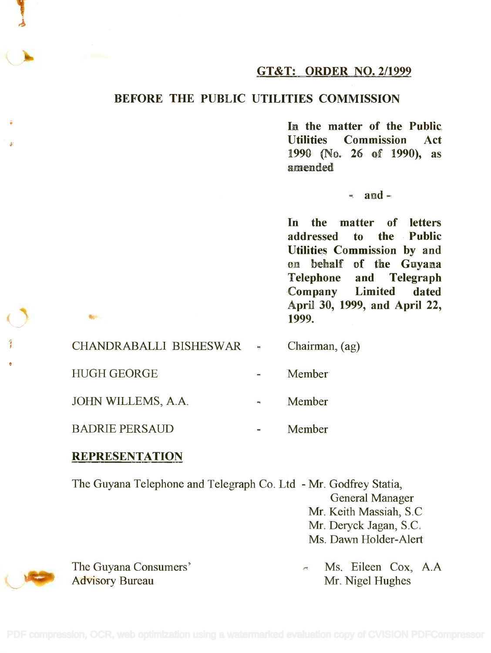

### BEFORE THE PUBLIC UTILITIES COMMISSION

In the matter of the Public **In the matter of the Public** Utilities Commission Act **Utilities Commission Act** 1990 (No. 26 of 1990), as **1990 (No. 26 of 1990), as** amended **amended**

 $-$  and  $-$ 

In the matter of letters **In the matter of letters** addressed to the Public **addressed to the Public** Utilities Commission by and **Utilities Commission by and** on behalf of the Guyana **on behalf of the Guyana** and Telegraph Company Limited dated **Company Limited dated** April 30, 1999, and April 22, **April 30, 1999, and April 22,** 1999. **1999.**  $T$ **elephone** 

| CHANDRABALLI BISHESWAR + | Chairman, (ag) |
|--------------------------|----------------|
| <b>HUGH GEORGE</b>       | <b>Member</b>  |
| JOHN WILLEMS, A.A.       | Member         |
| <b>BADRIE PERSAUD</b>    | Member         |

#### **REPRESENTATION**

The Guyana Telephone and Telegraph Co. Ltd - Mr. Godfrey Statia, The Guyana Telephone and Telegraph Co. Ltd - Mr. Godfrey Statia, General Manager General Manager Mr. Keith Massiah, S.0 Mr. Keith Massiah, S.C Mr. Deryck Jagan, S.C. Mr. Deryck Jagan, S.C. Ms. Dawn Holder-Alert Ms. Dawn Holder-Alert

The Guyana Consumers' A. Ms. Eileen Cox, A.A Advisory Bureau Mr. Nigel Hughes Ms. Eileen Cox, A.A Mr. Nigel Hughes

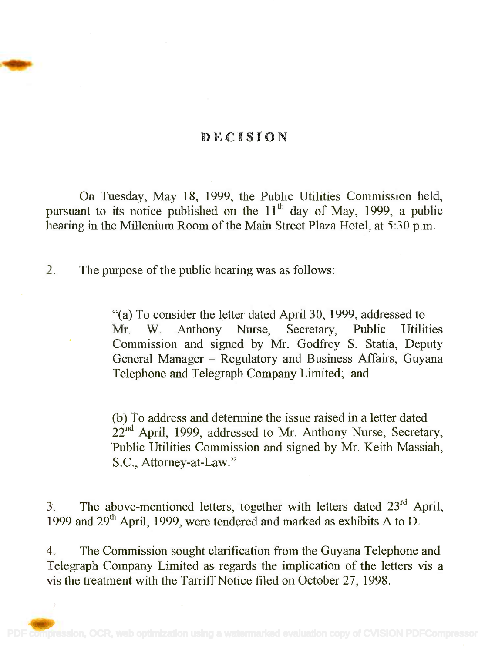### DECISION

On Tuesday, May 18, 1999, the Public Utilities Commission held, On Tuesday, May 18, 1999, the Public Utilities Commission held, pursuant to its notice published on the  $11<sup>th</sup>$  day of May, 1999, a public hearing in the Millenium Room of the Main Street Plaza Hotel, at 5:30 p.m. hearing in the Millenium Room of the Main Street Plaza Hotel, at 5:30 p.m.

2. The purpose of the public hearing was as follows:

"(a) To consider the letter dated April 30, 1999, addressed to "(a) To consider the letter dated April 30, 1999, addressed to Mr. W. Anthony Nurse, Secretary, Public Utilities Mr. W. Anthony Nurse, Secretary, Public Utilities Commission and signed by Mr. Godfrey S. Statia, Deputy Commission and signed by Mr. Godfrey S. Statia, Deputy General Manager - Regulatory and Business Affairs, Guyana Telephone and Telegraph Company Limited; and Telephone and Telegraph Company Limited; and

(b) To address and determine the issue raised in a letter dated (b) To address and determine the issue raised in a letter dated 22<sup>nd</sup> April, 1999, addressed to Mr. Anthony Nurse, Secretary, Public Utilities Commission and signed by Mr. Keith Massiah, Public Utilities Commission and signed by Mr. Keith Massiah, S.C., Attorney-at-Law." S.C., Attorney-at-Law."

3. The above-mentioned letters, together with letters dated  $23<sup>rd</sup>$  April, 1999 and 29<sup>th</sup> April, 1999, were tendered and marked as exhibits A to D.

4. The Commission sought clarification from the Guyana Telephone and 4. The Commission sought clarification from the Guyana Telephone and Telegraph Company Limited as regards the implication of the letters vis a Telegraph Company Limited as regards the implication of the letters vis a vis the treatment with the Tarriff Notice filed on October 27, 1998.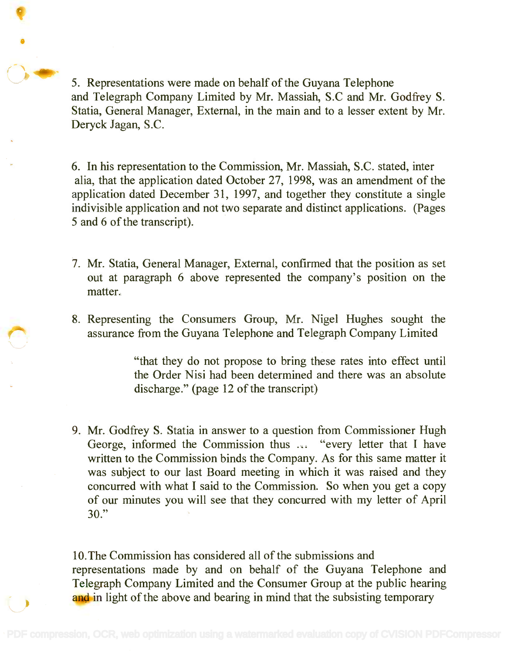5. Representations were made on behalf of the Guyana Telephone 5. Representations were made on behalf of the Guyana Telephone and Telegraph Company Limited by Mr. Massiah, S.C and Mr. Godfrey S. Statia, General Manager, External, in the main and to a lesser extent by Mr. Statia, General Manager, External, in the main and to a lesser extent by Mr. Deryck Jagan, S.C. Deryck Jagan, S.C.

9 PM 2012

6. In his representation to the Commission, Mr. Massiah, S.C. stated, inter 6. In his representation to the Commission, Mr. Massiah, S.C. stated, inter alia, that the application dated October 27, 1998, was an amendment of the alia, that the application dated October 27, 1998, was an amendment of the application dated December 31, 1997, and together they constitute a single application dated December 31, 1997, and together they constitute a single indivisible application and not two separate and distinct applications. (Pages indivisible application and not two separate and distinct applications. (Pages 5 and 6 of the transcript). 5 and 6 of the transcript).

- 7. Mr. Statia, General Manager, External, confirmed that the position as set 7. Mr. Statia, General Manager, External, confirmed that the position as set out at paragraph 6 above represented the company's position on the matter. matter.
- 8. Representing the Consumers Group, Mr. Nigel Hughes sought the 8. Representing the Consumers Group, Mr. Nigel Hughes sought the assurance from the Guyana Telephone and Telegraph Company Limited assurance from the Guyana Telephone and Telegraph Company Limited

"that they do not propose to bring these rates into effect until the Order Nisi had been determined and there was an absolute the Order Nisi had been determined and there was an absolute discharge." (page 12 of the transcript) discharge." (page 12 of the transcript)

9. Mr. Godfrey S. Statia in answer to a question from Commissioner Hugh 9. Mr. Godfrey S. Statia in answer to a question from Commissioner Hugh George, informed the Commission thus ... "every letter that I have written to the Commission binds the Company. As for this same matter it written to the Commission binds the Company. As for this same matter it was subject to our last Board meeting in which it was raised and they was subject to our last Board meeting in which it was raised and they concurred with what I said to the Commission. So when you get a copy concurred with what I said to the Commission. So when you get a copy of our minutes you will see that they concurred with my letter of April of our minutes you will see that they concurred with my letter of April 30." 30."

10.The Commission has considered all of the submissions and 10.The Commission has considered all of the submissions and representations made by and on behalf of the Guyana Telephone and Telegraph Company Limited and the Consumer Group at the public hearing Telegraph Company Limited and the Consumer Group at the public hearing and in light of the above and bearing in mind that the subsisting temporary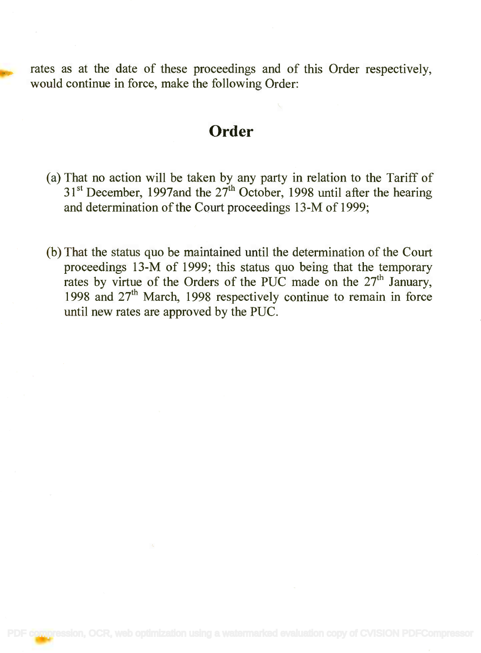rates as at the date of these proceedings and of this Order respectively, rates as at the date of these proceedings and of this Order respectively, would continue in force, make the following Order: would continue in force, make the following Order:

### **Order**

- (a) That no action will be taken by any party in relation to the Tariff of (a) That no action will be taken by any party in relation to the Tariff of 31<sup>st</sup> December, 1997and the 27<sup>th</sup> October, 1998 until after the hearing and determination of the Court proceedings 13-M of 1999; and determination of the Court proceedings 13-M of 1999;
- (b) That the status quo be maintained until the determination of the Court (b) That the status quo be maintained until the determination of the Court proceedings 13-M of 1999; this status quo being that the temporary proceedings 13-M of 1999; this status quo being that the temporary rates by virtue of the Orders of the PUC made on the 27<sup>th</sup> January, 1998 and 27<sup>th</sup> March, 1998 respectively continue to remain in force until new rates are approved by the PUC. until new rates are approved by the PUC.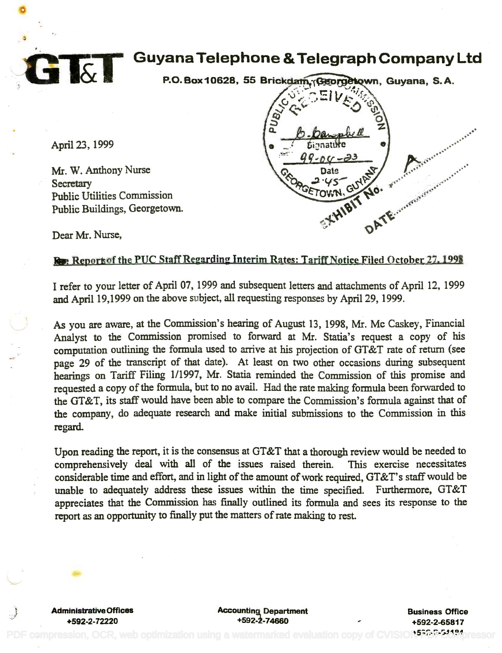

# Guyana Telephone &Telegraph Company Ltd **Guyana Telephone &Telegraph Company Ltd**

P.O.Box10628, 55 Brickdam. Georgetown, Guyana, S.A.

April 23, 1999

Mr. W. Anthony Nurse Mr. W, Anthony Nurse Secretary . Secretary Public Utilities Commission Public Utilities Commission Public Buildings, Georgetown. Public Buildings, Georgetown.



Dear Mr. Nurse,

### Re Report of the PUC Staff Regarding Interim Rates: Tariff Notice Filed October 27, 1998

I refer to your letter of April 07, 1999 and subsequent letters and attachments of April 12, 1999 Irefer to your letter of April 07, <sup>1999</sup> and subsequent letters and attachments of April 12, <sup>1999</sup> and April 19,1999 on the above subject, all requesting responses by April 29, 1999.

As you are aware, at the Commission's hearing of August 13, 1998, Mr. Mc Caskey, Financial As you are aware, at the Commission's hearing of August 13, 1998, Mr, Mc Caskey, Financial Analyst to the Commission promised to forward at Mr. Statia's request a copy of his Analyst to the Commission promised to forward at Mr. Statia's request a copy of his computation outlining the formula used to arrive at his projection of GT&T rate of return (see computation outlining the formula used to arrive at his projection of GT&T rate of return (see page 29 of the transcript of that date). At least on two other occasions during subsequent page 29 of the transcript of that date). At least on two other occasions during subsequent hearings on Tariff Filing 1/1997, Mr. Statia reminded the Commission of this promise and hearings on Tariff Filing 1/1997, Mr. Statia reminded the Commission of this promise and requested a copy of the formula, but to no avail. Had the rate making formula been forwarded to requested a copy of the formula, but to no avail. Had the rate making formula been forwarded to the GT&T, its staff would have been able to compare the Commission's formula against that of the company, do adequate research and make initial submissions to the Commission in this the company, do adequate research and make initial submissions to the Commission in this regard. regard.

Upon reading the report, it is the consensus at  $GT\&T$  that a thorough review would be needed to comprehensively deal with all of the issues raised therein. This exercise necessitates comprehensively deal with all of the issues raised therein. This exercise necessitates considerable time and effort, and in light of the amount of work required, GT&T's staff would be considerable time and effort, and in light of the amount of work required, GT&T's staff would be unable to adequately address these issues within the time specified. Furthermore, GT&T unable to adequately address these issues within the time specified. Furthermore, GT&T appreciates that the Commission has finally outlined its formula and sees its response to the appreciates that the Commission has finally outlined its formula and sees its response to the report as an opportunity to finally put the matters of rate making to rest. report as an opportunity to finally put the matters of rate making to rest.

Administrative Offices Administrative Offices +592-2-72220 +592-2-72220

Accounting Department Accounting, Department +5924-74660 *+592-i-74660*

Business Office Business Office +592-2-65817 +592-2-65817 PDF compression, OCR, web optimization using a watermarked evaluation copy of CVISION PPDF 50% pressor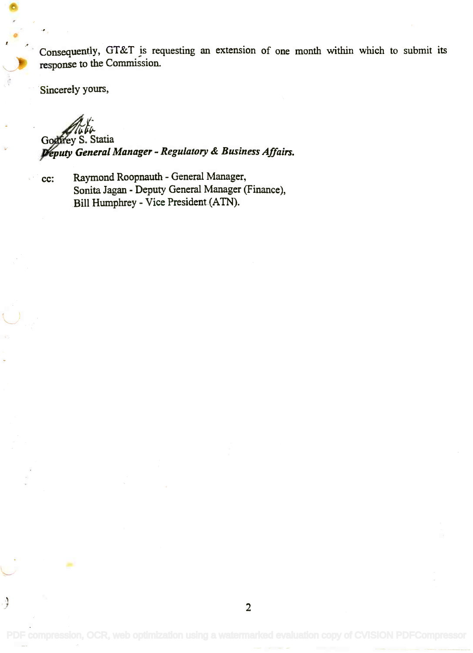Consequently, GT&T is requesting an extension of one month within which to submit its Consequently, GT&T *is* requesting an extension of one month within which to submit its response to the Commission. response to the Commission.

Sincerely yours,

*iJ.f;*

Gogfrey S. Statia eputy General Manager - Regulatory & Business Affairs. *1!putyGeneral Manager - Regulatory* & *Business Affairs.*

پ

cc: Raymond Roopnauth - General Manager, Raymond Roopnauth - General Manager, Sonita Jagan - Deputy General Manager (Finance), Sonita lagan - Deputy General Manager (Finance), Bill Humphrey - Vice President (ATN). Bill Humphrey - Vice President (ATN).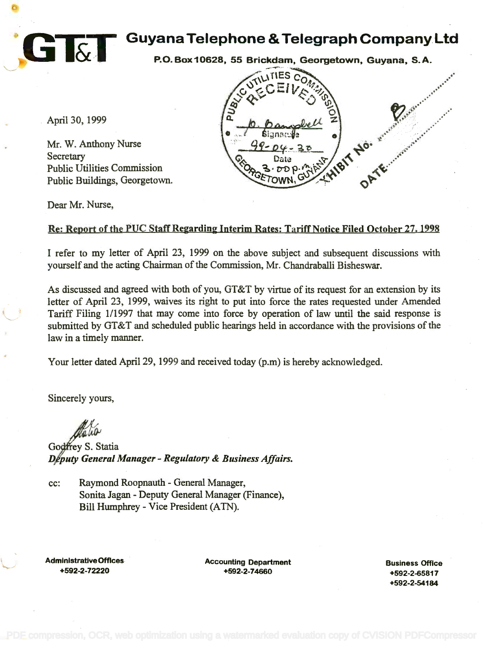

P.O.Box10628, 55 Brickdam, Georgetown, Guyana, S.A.

 $99 - 04 - 31$ 

 $\sim$ 

 $C = V \wedge W$ 

ORGETOWN, GUYP -- HIP ORTE.

 $\Omega$ 

**....**."

"

 $\mathcal{D}$  .  $\mathcal{C}$ 

~~.:: . ~;"~.,'/ .. -' ,- .•... *i·· .. ~* -,' ~-,'. ,,' ,"

"

Date  $\frac{1}{x}$ elle

April 30, 1999

Mr. W. Anthony Nurse Mr. W. Anthony Nurse Secretary Secretary Public Utilities Commission Public Utilities Commission Public Buildings, Georgetown. Public Buildings, Georgetown.

Dear Mr. Nurse,

## Re: Report of the PUC Staff Regarding Interim Rates: Tariff Notice Filed October 27, 1998

 $a \rightarrow b$ 

I refer to my letter of April 23, 1999 on the above subject and subsequent discussions with I refer to my letter of April 23, 1999 on the above subject and subsequent discussions with yourself and the acting Chairman of the Commission, Mr. Chandraballi Bisheswar. yourself and the acting Chairman of the Commission, Mr. Chandraballi Bisheswar.

As discussed and agreed with both of you, GT&T by virtue of its request for an extension by its As discussed and agreed with both of you, GT&T by virtue of its request for an extension by its letter of April 23, 1999, waives its right to put into force the rates requested under Amended letter of April 23, 1999, waives its right to put into force the rates requested under Amended Tariff Filing 1/1997 that may come into force by operation of law until the said response is Tariff Filing 1/1997 that may come into force by operation of law until the said response is submitted by GT&T and scheduled public hearings held in accordance with the provisions of the submitted by GT&T and scheduled public hearings held in accordance with the provisions of the law in a timely manner. law in a timely manner.

Your letter dated April 29, 1999 and received today (p.m) is hereby acknowledged.

Sincerely yours,

Godfrey S. Statia D/puty General Manager - Regulatory & Business Affairs. *n puty General Manager - Regulatory* & *Business Affairs,*

cc: Raymond Roopnauth - General Manager, cc: Raymond Roopnauth - General Manager, Sonita Jagan - Deputy General Manager (Finance), Sonita lagan - Deputy General Manager (Finance), Bill Humphrey - Vice President (ATN). Bill Humphrey - Vice President (ATN).

Administrative Offices **Accounting Department** Administrative OffIces - +592-2-72220

+592-2-72220 +592-2-74660 +592-2-74660

Business Office Business OffIce +592-2-65817 +592-2-65817 +592-2-54184 +592-2-54184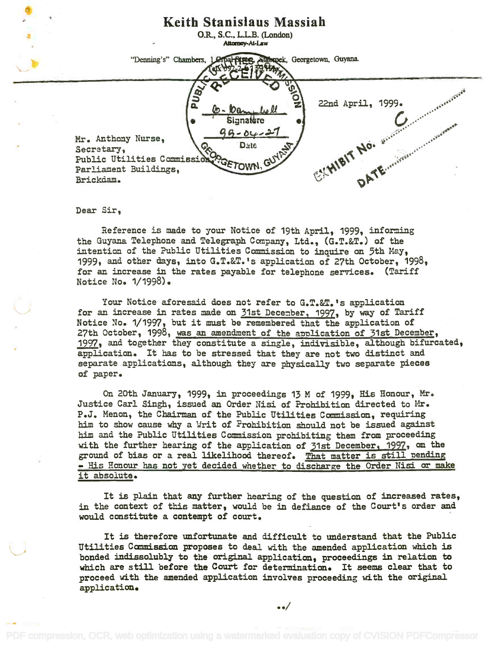

Dear Sir,

Reference is made to your Notice of 19th April, 1999, informing Reference is madeto your Notice of 19th April, 1999, informing the Guyana Telephone and Telegraph Company, Ltd., (G.T.&T.) of the intention of the Public Utilities Commission to inquire on 5th May, intention of the Public Utilities Commissionto inquire on 5th Hay, 1999, and other days, into G.T.&T.'s application of 27th October, 1998, 1999, and other days, into G.T.SeT.'sapplication of 27th October, 1998, for an increase in the rates payable for telephone services. (Tariff for an increase in the rates payable for telephone services. (Tariff Notice No. 1/1998). Notice No. 1/1998).

Your Notice aforesaid does not refer to G.T.&T.'s application for an increase in rates made on 31st December, 1997, by way of Tariff Notice No. 1/1997, but it must be remembered that the application of 27th October, 1998, was an amendment of the application of 31st December, 1997, and together they constitute a single, indivisible, although bifurcated, application. It has to be stressed that they are not two distinct and application. It has to be stressed that they are not two distinct and separate applications, although they are physically two separate pieces separate applications, although they are physically two separate pieces of paper. of paper.

On 20th January, 1999, in proceedings 13 M of 1999, His Honour, Mr. Justice Carl Singh, issued an Order Nisi of Prohibition directed to Mr. P.J. Menon, the Chairman of the Public Utilities Commission, requiring him to show cause why a Writ of Prohibition should not be issued against him to showcause whya \Jrit of Prohibition should not be issued against him and the Public Utilities Commission prohibiting them from proceeding him and the Public Utilities Commissionprohibiting them from proceeding with the further hearing of the application of 31st December, 1997, on the with the further hearing of the application of 31st December,1997, on the ground of bias or a real likelihood thereof. That matter is still pending ground of bias or a real likelihood thereof. That matter is still 'Dending - His Honour has not yet decided whether to discharge the Order Nisi or make it absolute. it absolute.

It is plain that any further hearing of the question of increased rates, in the context of this matter, would be in defiance of the Court's order and would constitute a contempt of court. would constitute a contemptof court.

It is therefore unfortunate and difficult to understand that the Public Utilities Commission proposes to deal with the amended application which is bonded indissolubly to the original application, proceedings in relation to which are still before the Court for determination. It seems clear that to which are still before the Court for determination. It seems clear that to proceed with the amended application involves proceeding with the original proceed with the amendedapplication involves proceeding with the original application. application.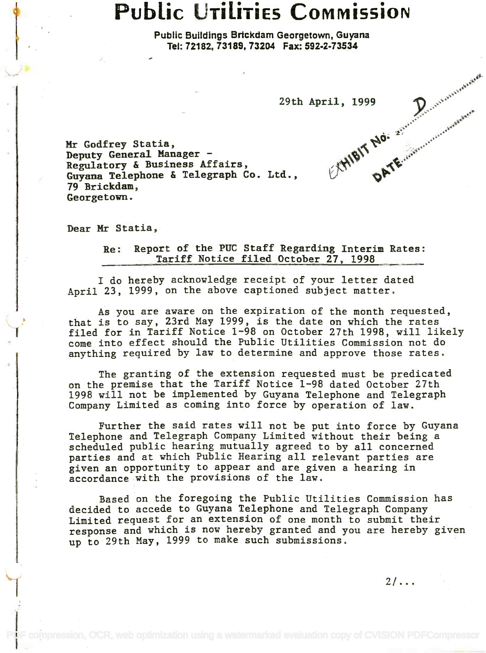# Public Utilities Commission

Public Buildings Brickdam Georgetown, Guyana Public Buildings Brtckdam Georgetown, Guyana Tel: 72182, 73189, 73204 Fax: 592-2-73534 Tel: 72182, 73189, 73204 Fax: 592-2-73534

29th April, 1999

a'

Mr Godfrey Statia, Hr Godfrey Statia, Deputy General Manager Deputy General Manager - Regulatory & Business Affairs, Regulatory & Business Affairs, Guyana Telephone & Telegraph Co. Ltd.,  $\qquad \qquad \forall$ 79 Brickdam, 79 Brickdam, Georgetown. Georgetown.

Dear Mr Statia,

Re: Report of the PUC Staff Regarding Interim Rates: Tariff Notice filed October 27, 1998 Tariff Notice filed October 27, 1998

I do hereby acknowledge receipt of your letter dated I do hereby acknowledge receipt of your letter dated April 23, 1999, on the above captioned subject matter. April 23, 1999, on the above captioned subject matter.

As you are aware on the expiration of the month requested, As you are aware on the expiration of the month requested, that is to say, 23rd May 1999, is the date on which the rates \~! that is to say, 23rd May 1999, is the date on which the rates filed for in Tariff Notice 1-98 on October 27th 1998, will likely I filed for in Tariff Notice 1-98 on October 27th 1998, will likely come into effect should the Public Utilities Commission not do come into effect should the Public Utilities Commission not do anything required by law to determine and approve those rates. anything required by law to.determine and approve those rates.

> The granting of the extension requested must be predicated The granting of the extension requested must be predicated on the premise that the Tariff Notice 1-98 dated October 27th on the premise that the Tariff Notice 1-98 dated October 27th 1998 will not be implemented by Guyana Telephone and Telegraph 1998 will not be implemented by Guyana Telephone and Telegraph Company Limited as coming into force by operation of law. Company Limited as coming into force by operation of law.

Further the said rates will not be put into force by Guyana Further the said rates will not be put into force by Guyana Telephone and Telegraph Company Limited without their being a Telephone and Telegraph Company Limited without their being a scheduled public hearing mutually agreed to by all concerned scheduled public hearing mutually agreed to by all concerned parties and at which Public Hearing all relevant parties are parties and at which Public Hearing all relevant parties are given an opportunity to appear and are given a hearing in given an opportunity to appear and are given a hearing in accordance with the provisions of the law. accordance with the provisions of the law.

Based on the foregoing the Public Utilities Commission has decided to accede to Guyana Telephone and Telegraph Company decided to accede to Guyana Telephone and Telegraph Company Limited request for an extension of one month to submit their Limited request for an extension of one month to submit their. response and which is now hereby granted and you are hereby given response and which is now hereby granted and you are hereby given up to 29th May, 1999 to make such submissions. up to 29th May, 1999 to make such submissions. .

 $2/\ldots$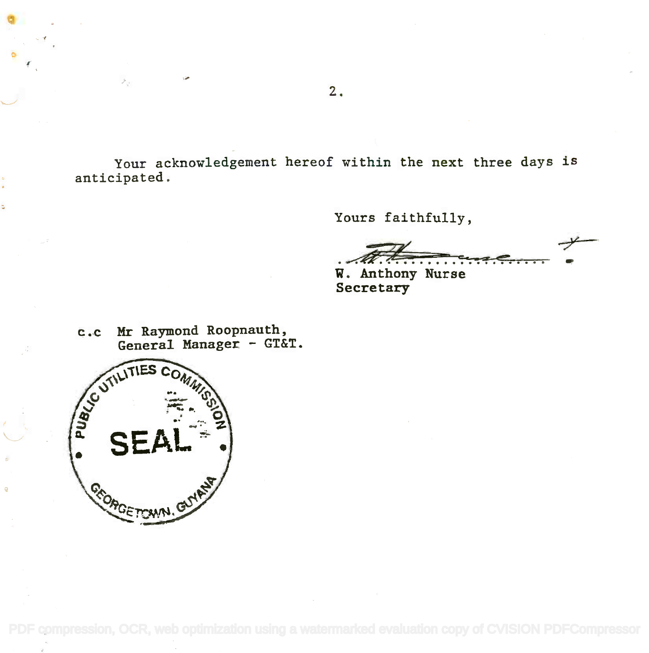Your acknowledgement hereof within the next three days is Your acknowledgement hereof within the next three days is anticipated. anticipated.

Yours faithfully,

 $#$ 

W. Anthony Nurse Secretary Secretary

c.c Mr Raymond Roopnauth, General Manager - GT&T. c.c HI Raymond Roopnauth, General Manager - GT&T.



 $\mathcal{P}_{\mathcal{Q}}$ 

[PDF compression, OCR, web optimization using a watermarked evaluation copy of CVISION PDFCompressor](http://www.cvisiontech.com)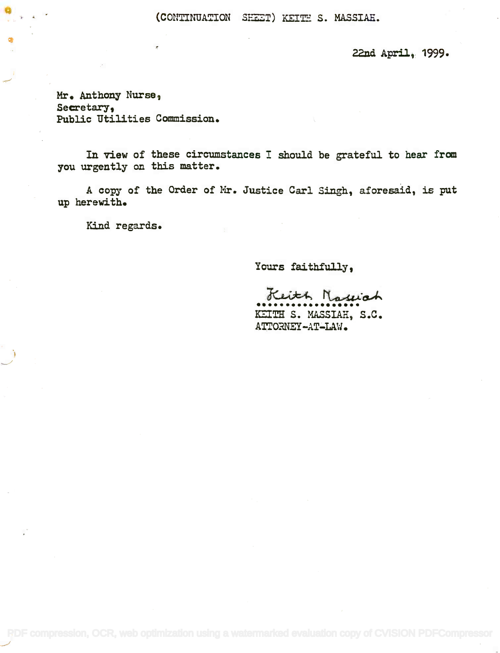(CONTINUATION SHEET) KEITH S. MASSIAE.

22nd April, 1999.

Mr. Anthony Nurse, Secretary, Secretary, Public Utilities Commission. Public Utilities Commission.

In view of these circumstances I should be grateful to hear from you urgently on this matter. you urgently on this matter.

A copy of the Order of Mr. Justice Carl Singh, aforesaid, is put A copy of the Order of Hr. Justice Carl Singh, aforesaid, is put up herewith. up herewith.

Kind regards.

Yours faithfully,

Keith Nassiah

KEITH S. MASSIAH, S.C.  $\mathtt{ATTORNET-AT-LAW}$  .